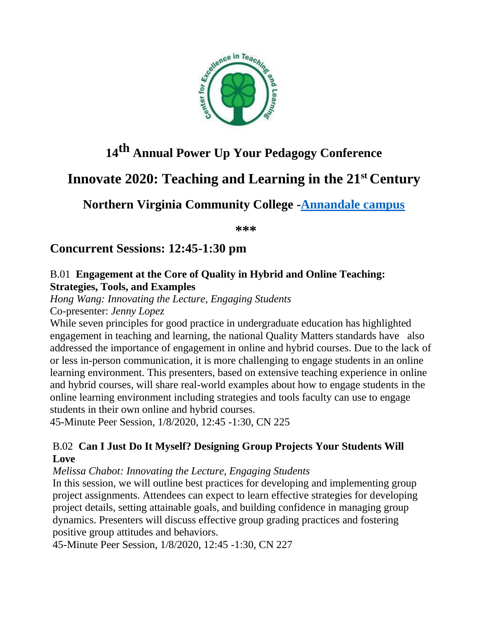

# **14th Annual Power Up Your Pedagogy Conference**

# **Innovate 2020: Teaching and Learning in the 21st Century**

**Northern Virginia Community College [-Annandale campus](https://nam03.safelinks.protection.outlook.com/?url=https%3A%2F%2Fwww.nvcc.edu%2Fannandale%2F_files%2FAN_Map18x24-17-6.pdf&data=02%7C01%7Csgharib%40vccs.edu%7C011590ebbedb41de5ed408d77ccf910c%7C0f58dc2cac9c44f6bdba3b0d404475e9%7C0%7C1%7C637115103267266025&sdata=pDLSF2Pwi3ghqSKF0HSsAWHtjElyK3xRsp4i8a9yj%2BI%3D&reserved=0)**

**\*\*\***

# **Concurrent Sessions: 12:45-1:30 pm**

## B.01 **Engagement at the Core of Quality in Hybrid and Online Teaching: Strategies, Tools, and Examples**

*Hong Wang: Innovating the Lecture, Engaging Students*

Co-presenter: *Jenny Lopez*

While seven principles for good practice in undergraduate education has highlighted engagement in teaching and learning, the national Quality Matters standards have also addressed the importance of engagement in online and hybrid courses. Due to the lack of or less in-person communication, it is more challenging to engage students in an online learning environment. This presenters, based on extensive teaching experience in online and hybrid courses, will share real-world examples about how to engage students in the online learning environment including strategies and tools faculty can use to engage students in their own online and hybrid courses.

45-Minute Peer Session, 1/8/2020, 12:45 -1:30, CN 225

# B.02 **Can I Just Do It Myself? Designing Group Projects Your Students Will Love**

*Melissa Chabot: Innovating the Lecture, Engaging Students*

In this session, we will outline best practices for developing and implementing group project assignments. Attendees can expect to learn effective strategies for developing project details, setting attainable goals, and building confidence in managing group dynamics. Presenters will discuss effective group grading practices and fostering positive group attitudes and behaviors.

45-Minute Peer Session, 1/8/2020, 12:45 -1:30, CN 227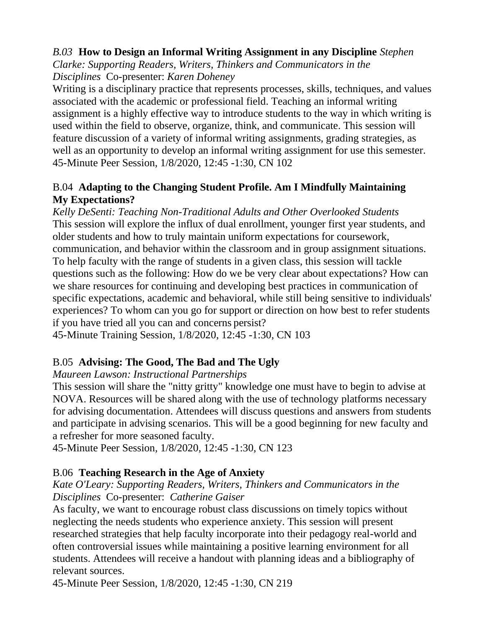## *B.03* **How to Design an Informal Writing Assignment in any Discipline** *Stephen*

*Clarke: Supporting Readers, Writers, Thinkers and Communicators in the Disciplines* Co-presenter: *Karen Doheney*

Writing is a disciplinary practice that represents processes, skills, techniques, and values associated with the academic or professional field. Teaching an informal writing assignment is a highly effective way to introduce students to the way in which writing is used within the field to observe, organize, think, and communicate. This session will feature discussion of a variety of informal writing assignments, grading strategies, as well as an opportunity to develop an informal writing assignment for use this semester. 45-Minute Peer Session, 1/8/2020, 12:45 -1:30, CN 102

## B.04 **Adapting to the Changing Student Profile. Am I Mindfully Maintaining My Expectations?**

*Kelly DeSenti: Teaching Non-Traditional Adults and Other Overlooked Students*  This session will explore the influx of dual enrollment, younger first year students, and older students and how to truly maintain uniform expectations for coursework, communication, and behavior within the classroom and in group assignment situations. To help faculty with the range of students in a given class, this session will tackle questions such as the following: How do we be very clear about expectations? How can we share resources for continuing and developing best practices in communication of specific expectations, academic and behavioral, while still being sensitive to individuals' experiences? To whom can you go for support or direction on how best to refer students if you have tried all you can and concerns persist? 45-Minute Training Session, 1/8/2020, 12:45 -1:30, CN 103

# B.05 **Advising: The Good, The Bad and The Ugly**

## *Maureen Lawson: Instructional Partnerships*

This session will share the "nitty gritty" knowledge one must have to begin to advise at NOVA. Resources will be shared along with the use of technology platforms necessary for advising documentation. Attendees will discuss questions and answers from students and participate in advising scenarios. This will be a good beginning for new faculty and a refresher for more seasoned faculty.

45-Minute Peer Session, 1/8/2020, 12:45 -1:30, CN 123

# B.06 **Teaching Research in the Age of Anxiety**

#### *Kate O'Leary: Supporting Readers, Writers, Thinkers and Communicators in the Disciplines* Co-presenter: *Catherine Gaiser*

As faculty, we want to encourage robust class discussions on timely topics without neglecting the needs students who experience anxiety. This session will present researched strategies that help faculty incorporate into their pedagogy real-world and often controversial issues while maintaining a positive learning environment for all students. Attendees will receive a handout with planning ideas and a bibliography of relevant sources.

45-Minute Peer Session, 1/8/2020, 12:45 -1:30, CN 219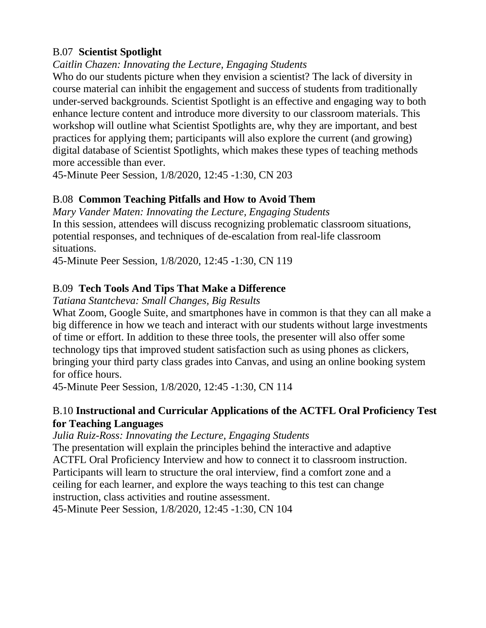## B.07 **Scientist Spotlight**

## *Caitlin Chazen: Innovating the Lecture, Engaging Students*

Who do our students picture when they envision a scientist? The lack of diversity in course material can inhibit the engagement and success of students from traditionally under-served backgrounds. Scientist Spotlight is an effective and engaging way to both enhance lecture content and introduce more diversity to our classroom materials. This workshop will outline what Scientist Spotlights are, why they are important, and best practices for applying them; participants will also explore the current (and growing) digital database of Scientist Spotlights, which makes these types of teaching methods more accessible than ever.

45-Minute Peer Session, 1/8/2020, 12:45 -1:30, CN 203

# B.08 **Common Teaching Pitfalls and How to Avoid Them**

*Mary Vander Maten: Innovating the Lecture, Engaging Students* In this session, attendees will discuss recognizing problematic classroom situations, potential responses, and techniques of de-escalation from real-life classroom situations.

45-Minute Peer Session, 1/8/2020, 12:45 -1:30, CN 119

# B.09 **Tech Tools And Tips That Make a Difference**

*Tatiana Stantcheva: Small Changes, Big Results*

What Zoom, Google Suite, and smartphones have in common is that they can all make a big difference in how we teach and interact with our students without large investments of time or effort. In addition to these three tools, the presenter will also offer some technology tips that improved student satisfaction such as using phones as clickers, bringing your third party class grades into Canvas, and using an online booking system for office hours.

45-Minute Peer Session, 1/8/2020, 12:45 -1:30, CN 114

## B.10 **Instructional and Curricular Applications of the ACTFL Oral Proficiency Test for Teaching Languages**

*Julia Ruiz-Ross: Innovating the Lecture, Engaging Students*

The presentation will explain the principles behind the interactive and adaptive ACTFL Oral Proficiency Interview and how to connect it to classroom instruction. Participants will learn to structure the oral interview, find a comfort zone and a ceiling for each learner, and explore the ways teaching to this test can change instruction, class activities and routine assessment.

45-Minute Peer Session, 1/8/2020, 12:45 -1:30, CN 104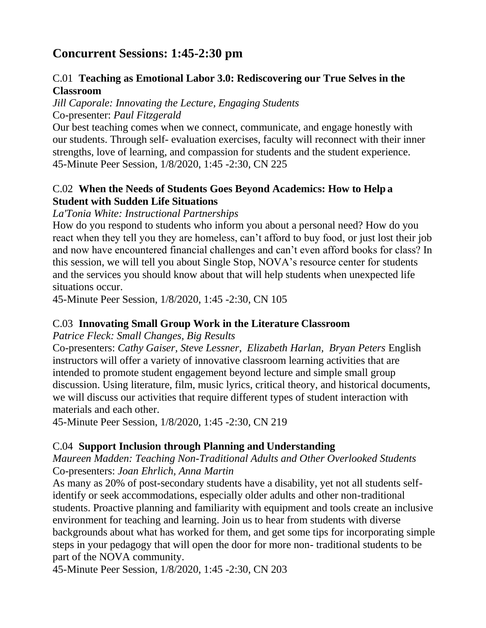# **Concurrent Sessions: 1:45-2:30 pm**

## C.01 **Teaching as Emotional Labor 3.0: Rediscovering our True Selves in the Classroom**

*Jill Caporale: Innovating the Lecture, Engaging Students* Co-presenter: *Paul Fitzgerald*

Our best teaching comes when we connect, communicate, and engage honestly with our students. Through self- evaluation exercises, faculty will reconnect with their inner strengths, love of learning, and compassion for students and the student experience. 45-Minute Peer Session, 1/8/2020, 1:45 -2:30, CN 225

## C.02 **When the Needs of Students Goes Beyond Academics: How to Help a Student with Sudden Life Situations**

## *La'Tonia White: Instructional Partnerships*

How do you respond to students who inform you about a personal need? How do you react when they tell you they are homeless, can't afford to buy food, or just lost their job and now have encountered financial challenges and can't even afford books for class? In this session, we will tell you about Single Stop, NOVA's resource center for students and the services you should know about that will help students when unexpected life situations occur.

45-Minute Peer Session, 1/8/2020, 1:45 -2:30, CN 105

## C.03 **Innovating Small Group Work in the Literature Classroom**

*Patrice Fleck: Small Changes, Big Results*

Co-presenters: *Cathy Gaiser, Steve Lessner, Elizabeth Harlan, Bryan Peters* English instructors will offer a variety of innovative classroom learning activities that are intended to promote student engagement beyond lecture and simple small group discussion. Using literature, film, music lyrics, critical theory, and historical documents, we will discuss our activities that require different types of student interaction with materials and each other.

45-Minute Peer Session, 1/8/2020, 1:45 -2:30, CN 219

# C.04 **Support Inclusion through Planning and Understanding**

#### *Maureen Madden: Teaching Non-Traditional Adults and Other Overlooked Students* Co-presenters: *Joan Ehrlich, Anna Martin*

As many as 20% of post-secondary students have a disability, yet not all students selfidentify or seek accommodations, especially older adults and other non-traditional students. Proactive planning and familiarity with equipment and tools create an inclusive environment for teaching and learning. Join us to hear from students with diverse backgrounds about what has worked for them, and get some tips for incorporating simple steps in your pedagogy that will open the door for more non- traditional students to be part of the NOVA community.

45-Minute Peer Session, 1/8/2020, 1:45 -2:30, CN 203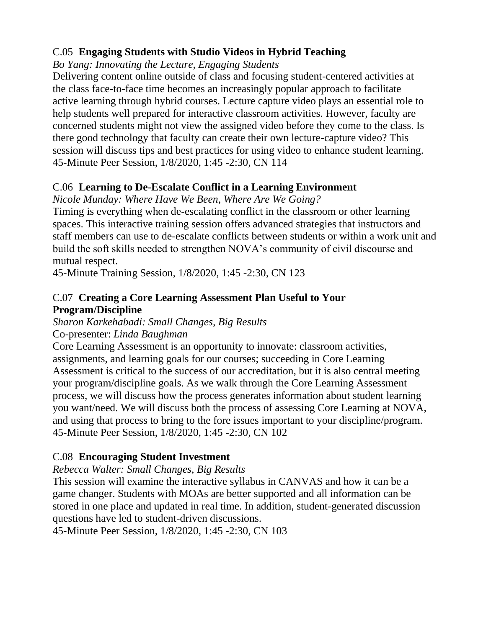# C.05 **Engaging Students with Studio Videos in Hybrid Teaching**

# *Bo Yang: Innovating the Lecture, Engaging Students*

Delivering content online outside of class and focusing student-centered activities at the class face-to-face time becomes an increasingly popular approach to facilitate active learning through hybrid courses. Lecture capture video plays an essential role to help students well prepared for interactive classroom activities. However, faculty are concerned students might not view the assigned video before they come to the class. Is there good technology that faculty can create their own lecture-capture video? This session will discuss tips and best practices for using video to enhance student learning. 45-Minute Peer Session, 1/8/2020, 1:45 -2:30, CN 114

# C.06 **Learning to De-Escalate Conflict in a Learning Environment**

*Nicole Munday: Where Have We Been, Where Are We Going?*

Timing is everything when de-escalating conflict in the classroom or other learning spaces. This interactive training session offers advanced strategies that instructors and staff members can use to de-escalate conflicts between students or within a work unit and build the soft skills needed to strengthen NOVA's community of civil discourse and mutual respect.

45-Minute Training Session, 1/8/2020, 1:45 -2:30, CN 123

# C.07 **Creating a Core Learning Assessment Plan Useful to Your Program/Discipline**

*Sharon Karkehabadi: Small Changes, Big Results* Co-presenter: *Linda Baughman*

Core Learning Assessment is an opportunity to innovate: classroom activities, assignments, and learning goals for our courses; succeeding in Core Learning Assessment is critical to the success of our accreditation, but it is also central meeting your program/discipline goals. As we walk through the Core Learning Assessment process, we will discuss how the process generates information about student learning you want/need. We will discuss both the process of assessing Core Learning at NOVA, and using that process to bring to the fore issues important to your discipline/program. 45-Minute Peer Session, 1/8/2020, 1:45 -2:30, CN 102

# C.08 **Encouraging Student Investment**

*Rebecca Walter: Small Changes, Big Results*

This session will examine the interactive syllabus in CANVAS and how it can be a game changer. Students with MOAs are better supported and all information can be stored in one place and updated in real time. In addition, student-generated discussion questions have led to student-driven discussions.

45-Minute Peer Session, 1/8/2020, 1:45 -2:30, CN 103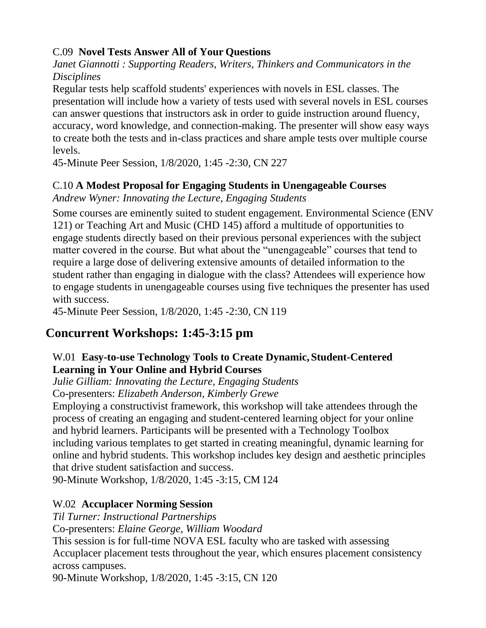# C.09 **Novel Tests Answer All of Your Questions**

*Janet Giannotti : Supporting Readers, Writers, Thinkers and Communicators in the Disciplines*

Regular tests help scaffold students' experiences with novels in ESL classes. The presentation will include how a variety of tests used with several novels in ESL courses can answer questions that instructors ask in order to guide instruction around fluency, accuracy, word knowledge, and connection-making. The presenter will show easy ways to create both the tests and in-class practices and share ample tests over multiple course levels.

45-Minute Peer Session, 1/8/2020, 1:45 -2:30, CN 227

# C.10 **A Modest Proposal for Engaging Students in Unengageable Courses**

*Andrew Wyner: Innovating the Lecture, Engaging Students*

Some courses are eminently suited to student engagement. Environmental Science (ENV 121) or Teaching Art and Music (CHD 145) afford a multitude of opportunities to engage students directly based on their previous personal experiences with the subject matter covered in the course. But what about the "unengageable" courses that tend to require a large dose of delivering extensive amounts of detailed information to the student rather than engaging in dialogue with the class? Attendees will experience how to engage students in unengageable courses using five techniques the presenter has used with success.

45-Minute Peer Session, 1/8/2020, 1:45 -2:30, CN 119

# **Concurrent Workshops: 1:45-3:15 pm**

# W.01 **Easy-to-use Technology Tools to Create Dynamic, Student-Centered Learning in Your Online and Hybrid Courses**

*Julie Gilliam: Innovating the Lecture, Engaging Students*

Co-presenters: *Elizabeth Anderson, Kimberly Grewe*

Employing a constructivist framework, this workshop will take attendees through the process of creating an engaging and student-centered learning object for your online and hybrid learners. Participants will be presented with a Technology Toolbox including various templates to get started in creating meaningful, dynamic learning for online and hybrid students. This workshop includes key design and aesthetic principles that drive student satisfaction and success.

90-Minute Workshop, 1/8/2020, 1:45 -3:15, CM 124

# W.02 **Accuplacer Norming Session**

*Til Turner: Instructional Partnerships* Co-presenters: *Elaine George, William Woodard* This session is for full-time NOVA ESL faculty who are tasked with assessing Accuplacer placement tests throughout the year, which ensures placement consistency across campuses.

90-Minute Workshop, 1/8/2020, 1:45 -3:15, CN 120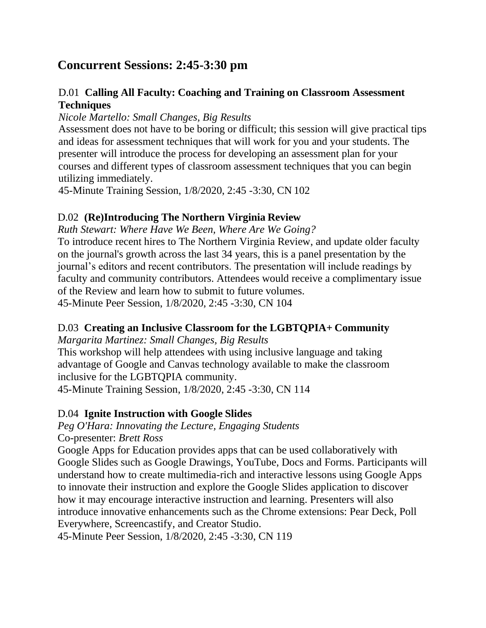# **Concurrent Sessions: 2:45-3:30 pm**

## D.01 **Calling All Faculty: Coaching and Training on Classroom Assessment Techniques**

*Nicole Martello: Small Changes, Big Results*

Assessment does not have to be boring or difficult; this session will give practical tips and ideas for assessment techniques that will work for you and your students. The presenter will introduce the process for developing an assessment plan for your courses and different types of classroom assessment techniques that you can begin utilizing immediately.

45-Minute Training Session, 1/8/2020, 2:45 -3:30, CN 102

## D.02 **(Re)Introducing The Northern Virginia Review**

*Ruth Stewart: Where Have We Been, Where Are We Going?*

To introduce recent hires to The Northern Virginia Review, and update older faculty on the journal's growth across the last 34 years, this is a panel presentation by the journal's editors and recent contributors. The presentation will include readings by faculty and community contributors. Attendees would receive a complimentary issue of the Review and learn how to submit to future volumes. 45-Minute Peer Session, 1/8/2020, 2:45 -3:30, CN 104

## D.03 **Creating an Inclusive Classroom for the LGBTQPIA+ Community**

*Margarita Martinez: Small Changes, Big Results* This workshop will help attendees with using inclusive language and taking advantage of Google and Canvas technology available to make the classroom inclusive for the LGBTQPIA community. 45-Minute Training Session, 1/8/2020, 2:45 -3:30, CN 114

## D.04 **Ignite Instruction with Google Slides**

*Peg O'Hara: Innovating the Lecture, Engaging Students* Co-presenter: *Brett Ross*

Google Apps for Education provides apps that can be used collaboratively with Google Slides such as Google Drawings, YouTube, Docs and Forms. Participants will understand how to create multimedia-rich and interactive lessons using Google Apps to innovate their instruction and explore the Google Slides application to discover how it may encourage interactive instruction and learning. Presenters will also introduce innovative enhancements such as the Chrome extensions: Pear Deck, Poll Everywhere, Screencastify, and Creator Studio.

45-Minute Peer Session, 1/8/2020, 2:45 -3:30, CN 119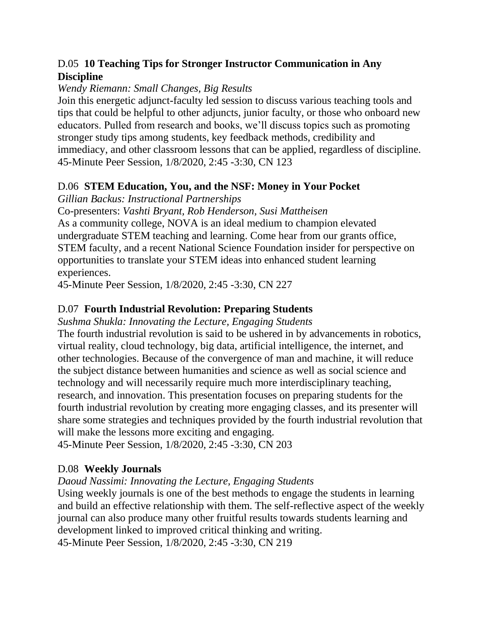# D.05 **10 Teaching Tips for Stronger Instructor Communication in Any Discipline**

#### *Wendy Riemann: Small Changes, Big Results*

Join this energetic adjunct-faculty led session to discuss various teaching tools and tips that could be helpful to other adjuncts, junior faculty, or those who onboard new educators. Pulled from research and books, we'll discuss topics such as promoting stronger study tips among students, key feedback methods, credibility and immediacy, and other classroom lessons that can be applied, regardless of discipline. 45-Minute Peer Session, 1/8/2020, 2:45 -3:30, CN 123

## D.06 **STEM Education, You, and the NSF: Money in Your Pocket**

*Gillian Backus: Instructional Partnerships*

Co-presenters: *Vashti Bryant, Rob Henderson, Susi Mattheisen* As a community college, NOVA is an ideal medium to champion elevated undergraduate STEM teaching and learning. Come hear from our grants office, STEM faculty, and a recent National Science Foundation insider for perspective on opportunities to translate your STEM ideas into enhanced student learning experiences.

45-Minute Peer Session, 1/8/2020, 2:45 -3:30, CN 227

# D.07 **Fourth Industrial Revolution: Preparing Students**

*Sushma Shukla: Innovating the Lecture, Engaging Students*

The fourth industrial revolution is said to be ushered in by advancements in robotics, virtual reality, cloud technology, big data, artificial intelligence, the internet, and other technologies. Because of the convergence of man and machine, it will reduce the subject distance between humanities and science as well as social science and technology and will necessarily require much more interdisciplinary teaching, research, and innovation. This presentation focuses on preparing students for the fourth industrial revolution by creating more engaging classes, and its presenter will share some strategies and techniques provided by the fourth industrial revolution that will make the lessons more exciting and engaging.

45-Minute Peer Session, 1/8/2020, 2:45 -3:30, CN 203

# D.08 **Weekly Journals**

## *Daoud Nassimi: Innovating the Lecture, Engaging Students*

Using weekly journals is one of the best methods to engage the students in learning and build an effective relationship with them. The self-reflective aspect of the weekly journal can also produce many other fruitful results towards students learning and development linked to improved critical thinking and writing.

45-Minute Peer Session, 1/8/2020, 2:45 -3:30, CN 219